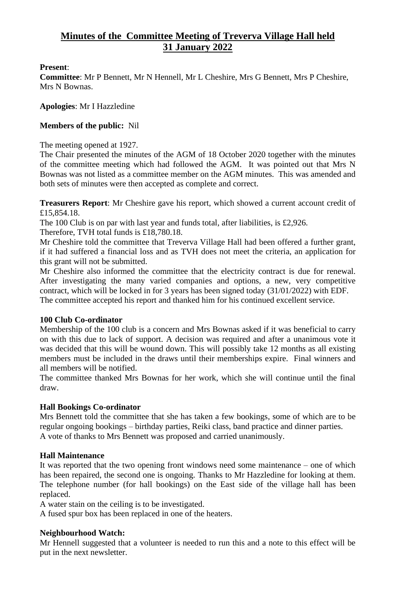# **Minutes of the Committee Meeting of Treverva Village Hall held 31 January 2022**

#### **Present**:

**Committee**: Mr P Bennett, Mr N Hennell, Mr L Cheshire, Mrs G Bennett, Mrs P Cheshire, Mrs N Bownas.

**Apologies**: Mr I Hazzledine

#### **Members of the public:** Nil

The meeting opened at 1927.

The Chair presented the minutes of the AGM of 18 October 2020 together with the minutes of the committee meeting which had followed the AGM. It was pointed out that Mrs N Bownas was not listed as a committee member on the AGM minutes. This was amended and both sets of minutes were then accepted as complete and correct.

**Treasurers Report**: Mr Cheshire gave his report, which showed a current account credit of £15,854.18.

The 100 Club is on par with last year and funds total, after liabilities, is £2,926.

Therefore, TVH total funds is £18,780.18.

Mr Cheshire told the committee that Treverva Village Hall had been offered a further grant, if it had suffered a financial loss and as TVH does not meet the criteria, an application for this grant will not be submitted.

Mr Cheshire also informed the committee that the electricity contract is due for renewal. After investigating the many varied companies and options, a new, very competitive contract, which will be locked in for 3 years has been signed today (31/01/2022) with EDF. The committee accepted his report and thanked him for his continued excellent service.

# **100 Club Co-ordinator**

Membership of the 100 club is a concern and Mrs Bownas asked if it was beneficial to carry on with this due to lack of support. A decision was required and after a unanimous vote it was decided that this will be wound down. This will possibly take 12 months as all existing members must be included in the draws until their memberships expire. Final winners and all members will be notified.

The committee thanked Mrs Bownas for her work, which she will continue until the final draw.

# **Hall Bookings Co-ordinator**

Mrs Bennett told the committee that she has taken a few bookings, some of which are to be regular ongoing bookings – birthday parties, Reiki class, band practice and dinner parties. A vote of thanks to Mrs Bennett was proposed and carried unanimously.

# **Hall Maintenance**

It was reported that the two opening front windows need some maintenance – one of which has been repaired, the second one is ongoing. Thanks to Mr Hazzledine for looking at them. The telephone number (for hall bookings) on the East side of the village hall has been replaced.

A water stain on the ceiling is to be investigated.

A fused spur box has been replaced in one of the heaters.

# **Neighbourhood Watch:**

Mr Hennell suggested that a volunteer is needed to run this and a note to this effect will be put in the next newsletter.